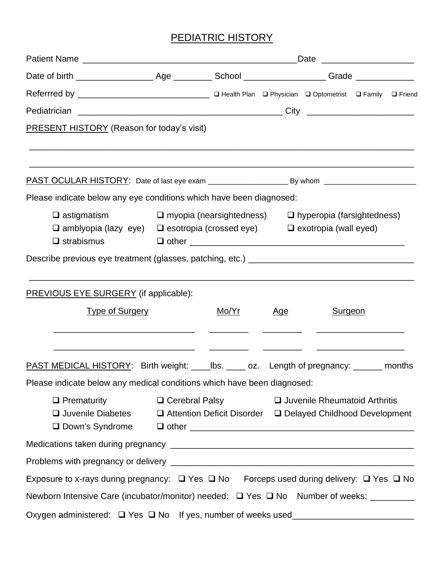## PEDIATRIC HISTORY

| <b>PRESENT HISTORY</b> (Reason for today's visit)                                                                                                                                                       |                                                                                                 |                                                                                                                       |            |                                 |                                                                                                                         |  |
|---------------------------------------------------------------------------------------------------------------------------------------------------------------------------------------------------------|-------------------------------------------------------------------------------------------------|-----------------------------------------------------------------------------------------------------------------------|------------|---------------------------------|-------------------------------------------------------------------------------------------------------------------------|--|
|                                                                                                                                                                                                         |                                                                                                 |                                                                                                                       |            |                                 |                                                                                                                         |  |
| Please indicate below any eye conditions which have been diagnosed:                                                                                                                                     |                                                                                                 |                                                                                                                       |            |                                 |                                                                                                                         |  |
| $\Box$ astigmatism $\Box$ myopia (nearsightedness) $\Box$ hyperopia (farsightedness)<br>$\Box$ amblyopia (lazy eye) $\Box$ esotropia (crossed eye) $\Box$ exotropia (wall eyed)<br>$\square$ strabismus |                                                                                                 |                                                                                                                       |            |                                 |                                                                                                                         |  |
|                                                                                                                                                                                                         |                                                                                                 |                                                                                                                       |            |                                 |                                                                                                                         |  |
| <b>PREVIOUS EYE SURGERY</b> (if applicable):                                                                                                                                                            |                                                                                                 |                                                                                                                       |            |                                 |                                                                                                                         |  |
| <b>Type of Surgery</b>                                                                                                                                                                                  |                                                                                                 | <u>Mo/Yr</u>                                                                                                          | <u>Age</u> | <b>Surgeon</b>                  |                                                                                                                         |  |
| <b>PAST MEDICAL HISTORY:</b> Birth weight: ______ lbs. ______ oz. Length of pregnancy: _______ months<br>Please indicate below any medical conditions which have been diagnosed:                        |                                                                                                 | <u> Alexandro de la construcción de la construcción de la construcción de la construcción de la construcción de l</u> |            |                                 | <u> Alexandro Alexandro Alexandro Alexandro Alexandro Alexandro Alexandro Alexandro Alexandro Alexandro Alexandro A</u> |  |
| $\Box$ Prematurity<br>□ Juvenile Diabetes                                                                                                                                                               | $\Box$ Cerebral Palsy<br>$\Box$ Attention Deficit Disorder $\Box$ Delayed Childhood Development |                                                                                                                       |            | □ Juvenile Rheumatoid Arthritis |                                                                                                                         |  |
|                                                                                                                                                                                                         |                                                                                                 |                                                                                                                       |            |                                 |                                                                                                                         |  |
|                                                                                                                                                                                                         |                                                                                                 |                                                                                                                       |            |                                 |                                                                                                                         |  |
| Exposure to x-rays during pregnancy: □ Yes □ No Forceps used during delivery: □ Yes □ No                                                                                                                |                                                                                                 |                                                                                                                       |            |                                 |                                                                                                                         |  |
| Newborn Intensive Care (incubator/monitor) needed: □ Yes □ No Number of weeks: ________                                                                                                                 |                                                                                                 |                                                                                                                       |            |                                 |                                                                                                                         |  |
| Oxygen administered: □ Yes □ No If yes, number of weeks used____________________                                                                                                                        |                                                                                                 |                                                                                                                       |            |                                 |                                                                                                                         |  |